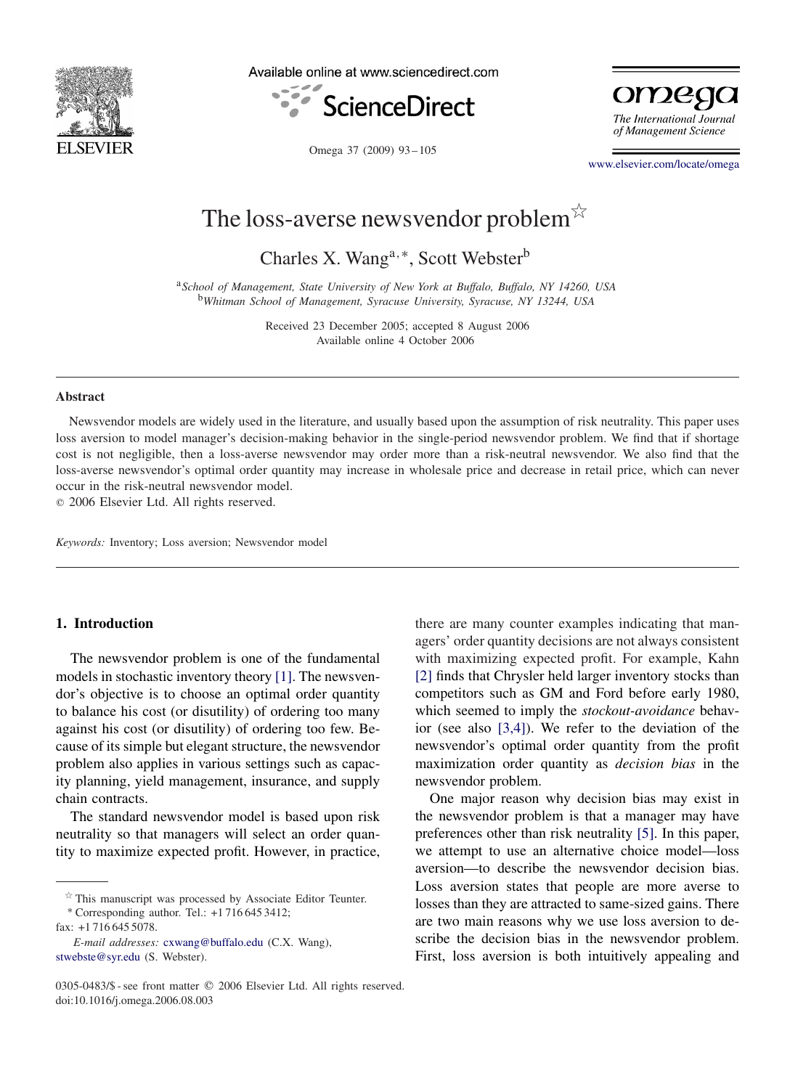

Available online at www.sciencedirect.com



omego The International Journal of Management Science

Omega 37 (2009) 93-105

[www.elsevier.com/locate/omega](http://www.elsevier.com/locate/omega)

# The loss-averse newsvendor problem ${}^{\not\approx}$

Charles X. Wang<sup>a,∗</sup>, Scott Webster<sup>b</sup>

<sup>a</sup>*School of Management, State University of New York at Buffalo, Buffalo, NY 14260, USA* <sup>b</sup>*Whitman School of Management, Syracuse University, Syracuse, NY 13244, USA*

> Received 23 December 2005; accepted 8 August 2006 Available online 4 October 2006

## **Abstract**

Newsvendor models are widely used in the literature, and usually based upon the assumption of risk neutrality. This paper uses loss aversion to model manager's decision-making behavior in the single-period newsvendor problem. We find that if shortage cost is not negligible, then a loss-averse newsvendor may order more than a risk-neutral newsvendor. We also find that the loss-averse newsvendor's optimal order quantity may increase in wholesale price and decrease in retail price, which can never occur in the risk-neutral newsvendor model.

2006 Elsevier Ltd. All rights reserved.

*Keywords:* Inventory; Loss aversion; Newsvendor model

#### **1. Introduction**

The newsvendor problem is one of the fundamental models in stochastic inventory theory [\[1\].](#page--1-0) The newsvendor's objective is to choose an optimal order quantity to balance his cost (or disutility) of ordering too many against his cost (or disutility) of ordering too few. Because of its simple but elegant structure, the newsvendor problem also applies in various settings such as capacity planning, yield management, insurance, and supply chain contracts.

The standard newsvendor model is based upon risk neutrality so that managers will select an order quantity to maximize expected profit. However, in practice,

 $*$  This manuscript was processed by Associate Editor Teunter.

<sup>∗</sup> Corresponding author. Tel.: +1 716 645 3412;

fax: +1 716 645 5078.

*E-mail addresses:* [cxwang@buffalo.edu](mailto:cxwang@buffalo.edu) (C.X. Wang), [stwebste@syr.edu](mailto:stwebste@syr.edu) (S. Webster).

there are many counter examples indicating that managers' order quantity decisions are not always consistent with maximizing expected profit. For example, Kahn [\[2\]](#page--1-0) finds that Chrysler held larger inventory stocks than competitors such as GM and Ford before early 1980, which seemed to imply the *stockout-avoidance* behavior (see also [3,4]). We refer to the deviation of the newsvendor's optimal order quantity from the profit maximization order quantity as *decision bias* in the newsvendor problem.

One major reason why decision bias may exist in the newsvendor problem is that a manager may have preferences other than risk neutrality [\[5\].](#page--1-0) In this paper, we attempt to use an alternative choice model—loss aversion—to describe the newsvendor decision bias. Loss aversion states that people are more averse to losses than they are attracted to same-sized gains. There are two main reasons why we use loss aversion to describe the decision bias in the newsvendor problem. First, loss aversion is both intuitively appealing and

<sup>0305-0483/\$ -</sup> see front matter © 2006 Elsevier Ltd. All rights reserved. doi:10.1016/j.omega.2006.08.003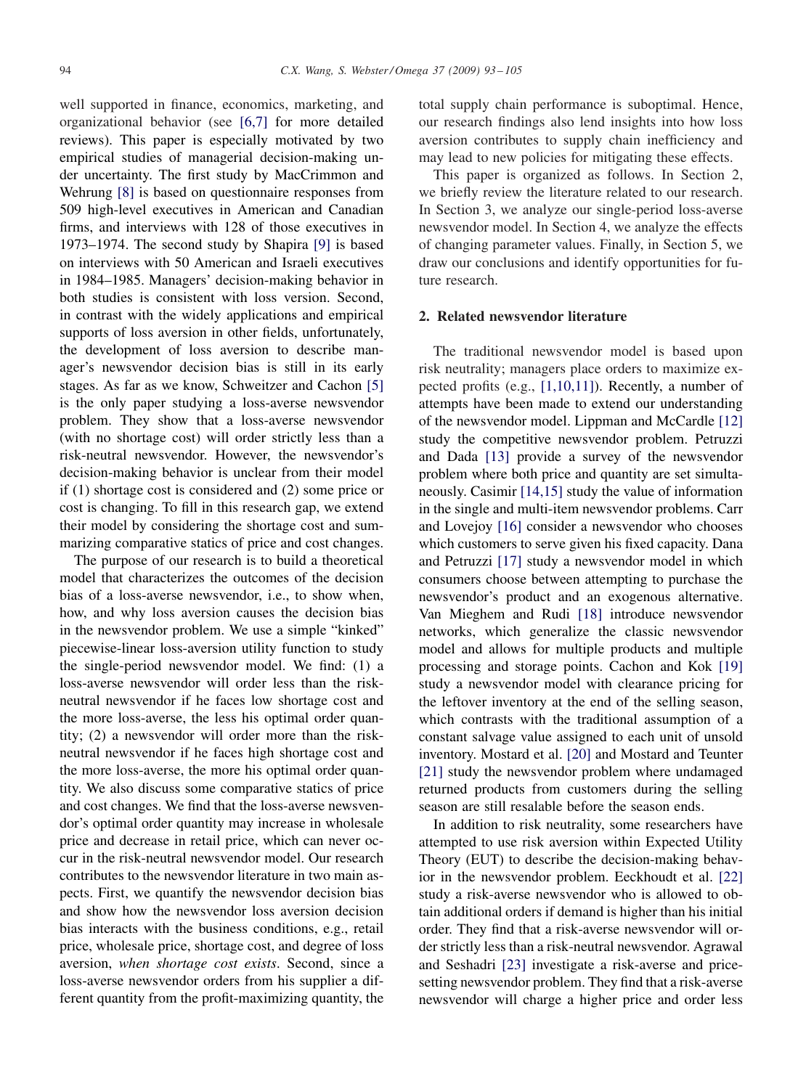well supported in finance, economics, marketing, and organizational behavior (see [6,7] for more detailed reviews). This paper is especially motivated by two empirical studies of managerial decision-making under uncertainty. The first study by MacCrimmon and Wehrung [\[8\]](#page--1-0) is based on questionnaire responses from 509 high-level executives in American and Canadian firms, and interviews with 128 of those executives in 1973–1974. The second study by Shapira [\[9\]](#page--1-0) is based on interviews with 50 American and Israeli executives in 1984–1985. Managers' decision-making behavior in both studies is consistent with loss version. Second, in contrast with the widely applications and empirical supports of loss aversion in other fields, unfortunately, the development of loss aversion to describe manager's newsvendor decision bias is still in its early stages. As far as we know, Schweitzer and Cachon [\[5\]](#page--1-0) is the only paper studying a loss-averse newsvendor problem. They show that a loss-averse newsvendor (with no shortage cost) will order strictly less than a risk-neutral newsvendor. However, the newsvendor's decision-making behavior is unclear from their model if (1) shortage cost is considered and (2) some price or cost is changing. To fill in this research gap, we extend their model by considering the shortage cost and summarizing comparative statics of price and cost changes.

The purpose of our research is to build a theoretical model that characterizes the outcomes of the decision bias of a loss-averse newsvendor, i.e., to show when, how, and why loss aversion causes the decision bias in the newsvendor problem. We use a simple "kinked" piecewise-linear loss-aversion utility function to study the single-period newsvendor model. We find: (1) a loss-averse newsvendor will order less than the riskneutral newsvendor if he faces low shortage cost and the more loss-averse, the less his optimal order quantity; (2) a newsvendor will order more than the riskneutral newsvendor if he faces high shortage cost and the more loss-averse, the more his optimal order quantity. We also discuss some comparative statics of price and cost changes. We find that the loss-averse newsvendor's optimal order quantity may increase in wholesale price and decrease in retail price, which can never occur in the risk-neutral newsvendor model. Our research contributes to the newsvendor literature in two main aspects. First, we quantify the newsvendor decision bias and show how the newsvendor loss aversion decision bias interacts with the business conditions, e.g., retail price, wholesale price, shortage cost, and degree of loss aversion, *when shortage cost exists*. Second, since a loss-averse newsvendor orders from his supplier a different quantity from the profit-maximizing quantity, the total supply chain performance is suboptimal. Hence, our research findings also lend insights into how loss aversion contributes to supply chain inefficiency and may lead to new policies for mitigating these effects.

This paper is organized as follows. In Section 2, we briefly review the literature related to our research. In Section 3, we analyze our single-period loss-averse newsvendor model. In Section 4, we analyze the effects of changing parameter values. Finally, in Section 5, we draw our conclusions and identify opportunities for future research.

## **2. Related newsvendor literature**

The traditional newsvendor model is based upon risk neutrality; managers place orders to maximize expected profits (e.g., [1,10,11]). Recently, a number of attempts have been made to extend our understanding of the newsvendor model. Lippman and McCardle [\[12\]](#page--1-0) study the competitive newsvendor problem. Petruzzi and Dada [\[13\]](#page--1-0) provide a survey of the newsvendor problem where both price and quantity are set simultaneously. Casimir [14,15] study the value of information in the single and multi-item newsvendor problems. Carr and Lovejoy [\[16\]](#page--1-0) consider a newsvendor who chooses which customers to serve given his fixed capacity. Dana and Petruzzi [\[17\]](#page--1-0) study a newsvendor model in which consumers choose between attempting to purchase the newsvendor's product and an exogenous alternative. Van Mieghem and Rudi [\[18\]](#page--1-0) introduce newsvendor networks, which generalize the classic newsvendor model and allows for multiple products and multiple processing and storage points. Cachon and Kok [\[19\]](#page--1-0) study a newsvendor model with clearance pricing for the leftover inventory at the end of the selling season, which contrasts with the traditional assumption of a constant salvage value assigned to each unit of unsold inventory. Mostard et al. [\[20\]](#page--1-0) and Mostard and Teunter [\[21\]](#page--1-0) study the newsvendor problem where undamaged returned products from customers during the selling season are still resalable before the season ends.

In addition to risk neutrality, some researchers have attempted to use risk aversion within Expected Utility Theory (EUT) to describe the decision-making behavior in the newsvendor problem. Eeckhoudt et al. [\[22\]](#page--1-0) study a risk-averse newsvendor who is allowed to obtain additional orders if demand is higher than his initial order. They find that a risk-averse newsvendor will order strictly less than a risk-neutral newsvendor. Agrawal and Seshadri [\[23\]](#page--1-0) investigate a risk-averse and pricesetting newsvendor problem. They find that a risk-averse newsvendor will charge a higher price and order less